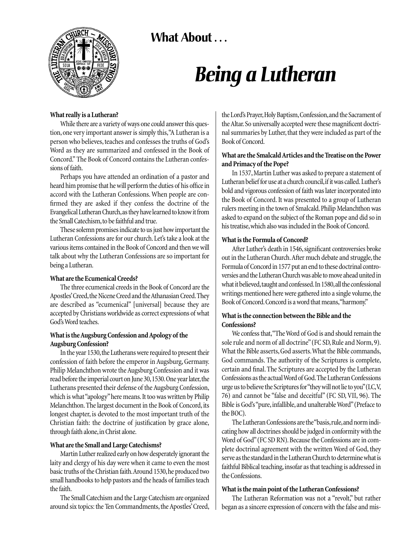What About ...



# *Being a Lutheran*

#### **What really is a Lutheran?**

While there are a variety of ways one could answer this question, one very important answer is simply this,"A Lutheran is a person who believes, teaches and confesses the truths of God's Word as they are summarized and confessed in the Book of Concord." The Book of Concord contains the Lutheran confessions of faith.

Perhaps you have attended an ordination of a pastor and heard him promise that he will perform the duties of his office in accord with the Lutheran Confessions. When people are confirmed they are asked if they confess the doctrine of the Evangelical Lutheran Church,as they have learned to know it from the Small Catechism, to be faithful and true.

These solemn promises indicate to us just how important the Lutheran Confessions are for our church. Let's take a look at the various items contained in the Book of Concord and then we will talk about why the Lutheran Confessions are so important for being a Lutheran.

## **What are the Ecumenical Creeds?**

The three ecumenical creeds in the Book of Concord are the Apostles' Creed, the Nicene Creed and the Athanasian Creed. They are described as "ecumenical" [universal] because they are accepted by Christians worldwide as correct expressions of what God's Word teaches.

#### **What is the Augsburg Confession and Apology of the Augsburg Confession?**

In the year 1530, the Lutherans were required to present their confession of faith before the emperor in Augsburg, Germany. Philip Melanchthon wrote the Augsburg Confession and it was read before the imperial court on June 30, 1530. One year later, the Lutherans presented their defense of the Augsburg Confession, which is what "apology" here means. It too was written by Philip Melanchthon. The largest document in the Book of Concord, its longest chapter, is devoted to the most important truth of the Christian faith: the doctrine of justification by grace alone, through faith alone, in Christ alone.

## **What are the Small and Large Catechisms?**

Martin Luther realized early on how desperately ignorant the laity and clergy of his day were when it came to even the most basic truths of the Christian faith. Around 1530, he produced two small handbooks to help pastors and the heads of families teach the faith.

The Small Catechism and the Large Catechism are organized around six topics: the Ten Commandments, the Apostles' Creed, the Lord's Prayer, Holy Baptism, Confession, and the Sacrament of the Altar.So universally accepted were these magnificent doctrinal summaries by Luther, that they were included as part of the Book of Concord.

## **What are the Smalcald Articles and the Treatise on the Power and Primacy of the Pope?**

In 1537, Martin Luther was asked to prepare a statement of Lutheran belief for use at a church council, if it was called. Luther's bold and vigorous confession of faith was later incorporated into the Book of Concord. It was presented to a group of Lutheran rulers meeting in the town of Smalcald.Philip Melanchthon was asked to expand on the subject of the Roman pope and did so in his treatise,which also was included in the Book of Concord.

#### **What is the Formula of Concord?**

After Luther's death in 1546, significant controversies broke out in the Lutheran Church. After much debate and struggle, the Formula of Concord in 1577 put an end to these doctrinal controversies and the Lutheran Church was able to move ahead united in what it believed, taught and confessed. In 1580, all the confessional writings mentioned here were gathered into a single volume, the Book of Concord.Concord is a word that means,"harmony."

## **What is the connection between the Bible and the Confessions?**

We confess that,"The Word of God is and should remain the sole rule and norm of all doctrine"(FC SD, Rule and Norm, 9). What the Bible asserts, God asserts.What the Bible commands, God commands. The authority of the Scriptures is complete, certain and final. The Scriptures are accepted by the Lutheran Confessions as the actual Word of God.The Lutheran Confessions urge us to believe the Scriptures for "they will not lie to you"(LC,V, 76) and cannot be "false and deceitful" (FC SD, VII, 96). The Bible is God's "pure, infallible, and unalterable Word"(Preface to the BOC).

The Lutheran Confessions are the "basis,rule,and norm indicating how all doctrines should be judged in conformity with the Word of God" (FC SD RN). Because the Confessions are in complete doctrinal agreement with the written Word of God, they serve as the standard in the Lutheran Church to determine what is faithful Biblical teaching, insofar as that teaching is addressed in the Confessions.

## **What is the main point of the Lutheran Confessions?**

The Lutheran Reformation was not a "revolt," but rather began as a sincere expression of concern with the false and mis-